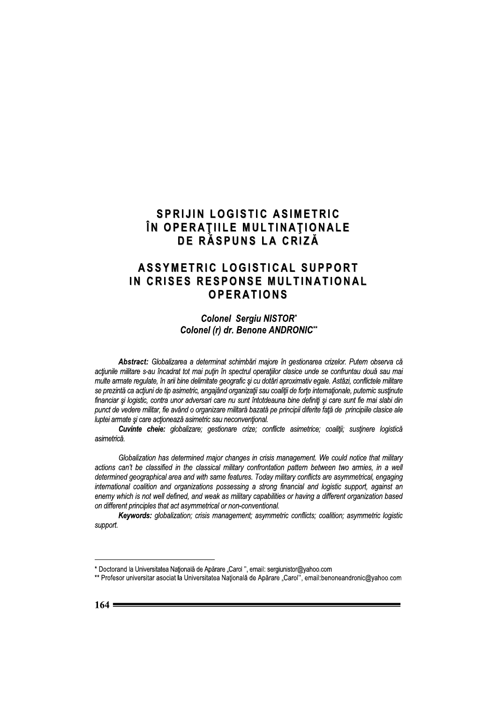#### **SPRIJIN LOGISTIC ASIMETRIC** ÎN OPERAȚIILE MULTINAȚIONALE DE RĂSPUNS LA CRIZĂ

#### **ASSYMETRIC LOGISTICAL SUPPORT** IN CRISES RESPONSE MULTINATIONAL **OPERATIONS**

**Colonel Sergiu NISTOR\*** Colonel (r) dr. Benone ANDRONIC\*\*

Abstract: Globalizarea a determinat schimbări majore în gestionarea crizelor. Putem observa că actiunile militare s-au încadrat tot mai putin în spectrul operatiilor clasice unde se confruntau două sau mai multe armate requlate, în arii bine delimitate geografic și cu dotări aproximativ egale. Astăzi, conflictele militare se prezintă ca acțiuni de tip asimetric, angajând organizații sau coaliții de forțe internaționale, puternic susținute financiar și logistic, contra unor adversari care nu sunt întotdeauna bine definiți și care sunt fie mai slabi din punct de vedere militar, fie având o organizare militară bazată pe principii diferite fată de principiile clasice ale luptei armate și care acționează asimetric sau neconvențional.

Cuvinte cheie: globalizare; gestionare crize; conflicte asimetrice; coaliții; susținere logistică asimetrică.

Globalization has determined major changes in crisis management. We could notice that military actions can't be classified in the classical military confrontation pattern between two armies, in a well determined geographical area and with same features. Today military conflicts are asymmetrical, engaging international coalition and organizations possessing a strong financial and logistic support, against an enemy which is not well defined, and weak as military capabilities or having a different organization based on different principles that act asymmetrical or non-conventional.

Keywords: globalization; crisis management; asymmetric conflicts; coalition; asymmetric logistic support.

<sup>\*</sup> Doctorand la Universitatea Națională de Apărare "Carol ", email: sergiunistor@yahoo.com

<sup>\*\*</sup> Profesor universitar asociat la Universitatea Națională de Apărare "Carol", email:benoneandronic@yahoo.com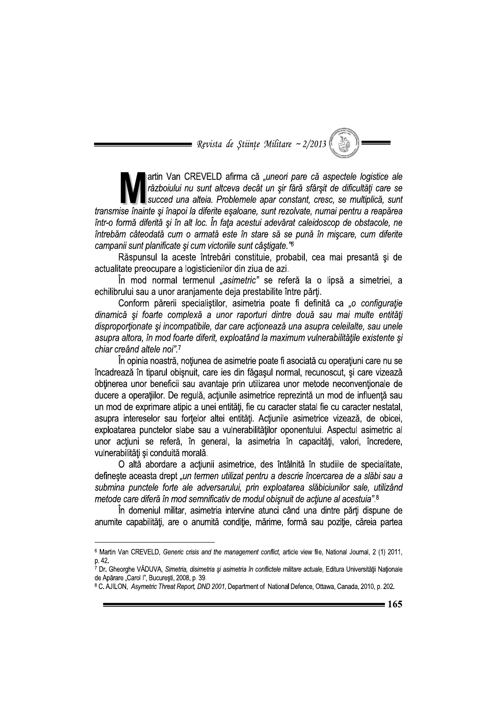= Revista de Stiințe Militare ~ 2/2013

artin Van CREVELD afirma că "uneori pare că aspectele logistice ale războiului nu sunt altceva decât un sir fără sfârsit de dificultăti care se succed una alteia. Problemele apar constant, cresc, se multiplică, sunt transmise înainte și înapoi la diferite esaloane, sunt rezolvate, numai pentru a reapărea într-o formă diferită și în alt loc. În fața acestui adevărat caleidoscop de obstacole, ne întrebăm câteodată cum o armată este în stare să se pună în miscare, cum diferite campanii sunt planificate și cum victoriile sunt câștigate."<sup>6</sup>

Răspunsul la aceste întrebări constituie, probabil, cea mai presantă și de actualitate preocupare a logisticienilor din ziua de azi.

În mod normal termenul "asimetric" se referă la o lipsă a simetriei, a echilibrului sau a unor aranjamente deja prestabilite între părți.

Conform părerii specialiștilor, asimetria poate fi definită ca "o configurație dinamică și foarte complexă a unor raporturi dintre două sau mai multe entități disproportionate si incompatibile, dar care actionează una asupra celeilalte, sau unele asupra altora, în mod foarte diferit, exploatând la maximum vulnerabilitățile existente și chiar creând altele noi".7

În opinia noastră, noțiunea de asimetrie poate fi asociată cu operațiuni care nu se încadrează în tiparul obisnuit, care ies din făgasul normal, recunoscut, și care vizează obținerea unor beneficii sau avantaje prin utilizarea unor metode neconvenționale de ducere a operațiilor. De regulă, acțiunile asimetrice reprezintă un mod de influență sau un mod de exprimare atipic a unei entități, fie cu caracter statal fie cu caracter nestatal, asupra intereselor sau forțelor altei entități. Acțiunile asimetrice vizează, de obicei, exploatarea punctelor slabe sau a vulnerabilităților oponentului. Aspectul asimetric al unor acțiuni se referă, în general, la asimetria în capacități, valori, încredere, vulnerabilități și conduită morală.

O altă abordare a acțiunii asimetrice, des întâlnită în studiile de specialitate. defineste aceasta drept "un termen utilizat pentru a descrie încercarea de a slăbi sau a submina punctele forte ale adversarului, prin exploatarea slăbiciunilor sale, utilizând metode care diferă în mod semnificativ de modul obisnuit de actiune al acestuia".8

În domeniul militar, asimetria intervine atunci când una dintre părti dispune de anumite capabilități, are o anumită condiție, mărime, formă sau poziție, căreia partea

<sup>&</sup>lt;sup>6</sup> Martin Van CREVELD, Generic crisis and the management conflict, article view file, National Journal, 2 (1) 2011, p. 42.

<sup>7</sup> Dr. Gheorghe VĂDUVA, Simetria, disimetria și asimetria în conflictele militare actuale, Editura Universității Naționale de Apărare "Carol I", Bucuresti, 2008, p. 39.

<sup>&</sup>lt;sup>8</sup> C. AJILON, Asymetric Threat Report, DND 2001, Department of National Defence, Ottawa, Canada, 2010, p. 202.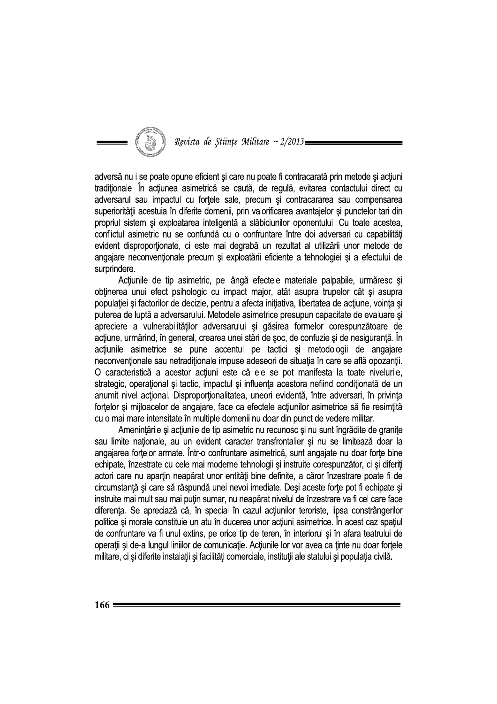

adversă nu i se poate opune eficient și care nu poate fi contracarată prin metode și acțiuni traditionale. În actiunea asimetrică se caută, de regulă, evitarea contactului direct cu adversarul sau impactul cu forțele sale, precum și contracararea sau compensarea superiorității acestuia în diferite domenii, prin valorificarea avantajelor și punctelor tari din propriul sistem și exploatarea inteligentă a slăbiciunilor oponentului. Cu toate acestea, conflictul asimetric nu se confundă cu o confruntare între doi adversari cu capabilităti evident disproportionate, ci este mai degrabă un rezultat al utilizării unor metode de angajare neconvenționale precum și exploatării eficiente a tehnologiei și a efectului de surprindere.

Actiunile de tip asimetric, pe lângă efectele materiale palpabile, urmăresc și obținerea unui efect psihologic cu impact major, atât asupra trupelor cât și asupra populației și factorilor de decizie, pentru a afecta inițiativa, libertatea de acțiune, voința și puterea de luptă a adversarului. Metodele asimetrice presupun capacitate de evaluare și apreciere a vulnerabilităților adversarului și găsirea formelor corespunzătoare de acțiune, urmărind, în general, crearea unei stări de șoc, de confuzie și de nesiguranță. În acțiunile asimetrice se pune accentul pe tactici și metodologii de angajare neconventionale sau netraditionale impuse adeseori de situația în care se află opozanții. O caracteristică a acestor actiuni este că ele se pot manifesta la toate nivelurile. strategic, operațional și tactic, impactul și influența acestora nefiind condiționată de un anumit nivel actional. Disproportionalitatea, uneori evidentă, între adversari, în privinta fortelor și mijloacelor de angajare, face ca efectele acțiunilor asimetrice să fie resimțită cu o mai mare intensitate în multiple domenii nu doar din punct de vedere militar.

Amenințările și acțiunile de tip asimetric nu recunosc și nu sunt îngrădite de granițe sau limite naționale, au un evident caracter transfrontalier și nu se limitează doar la angajarea fortelor armate. Într-o confruntare asimetrică, sunt angajate nu doar forte bine echipate, înzestrate cu cele mai moderne tehnologii și instruite corespunzător, ci și diferiți actori care nu apartin neapărat unor entităti bine definite, a căror înzestrare poate fi de circumstanță și care să răspundă unei nevoi imediate. Deși aceste forțe pot fi echipate și instruite mai mult sau mai putin sumar, nu neapărat nivelul de înzestrare va fi cel care face diferența. Se apreciază că, în special în cazul acțiunilor teroriste, lipsa constrângerilor politice și morale constituie un atu în ducerea unor actiuni asimetrice. În acest caz spațiul de confruntare va fi unul extins, pe orice tip de teren, în interiorul și în afara teatrului de operații și de-a lungul liniilor de comunicație. Acțiunile lor vor avea ca ținte nu doar forțele militare, ci și diferite instalații și facilități comerciale, instituții ale statului și populația civilă.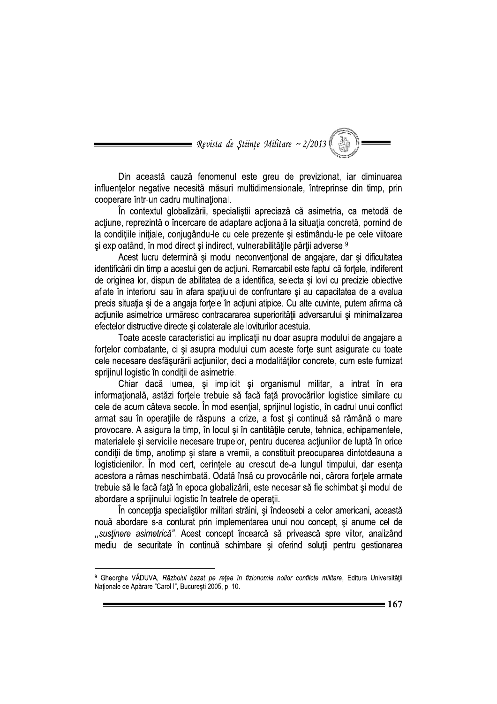= Revista de Stiințe Militare ~ 2/2013

Din această cauză fenomenul este greu de previzionat, iar diminuarea influentelor negative necesită măsuri multidimensionale, întreprinse din timp, prin cooperare într-un cadru multinational.

În contextul globalizării, specialistii apreciază că asimetria, ca metodă de acțiune, reprezintă o încercare de adaptare acțională la situația concretă, pornind de la conditiile initiale, coniugându-le cu cele prezente si estimându-le pe cele viitoare si exploatând, în mod direct și indirect, vulnerabilitățile părții adverse.<sup>9</sup>

Acest lucru determină și modul neconvențional de angajare, dar și dificultatea identificării din timp a acestui gen de acțiuni. Remarcabil este faptul că fortele, indiferent de originea lor, dispun de abilitatea de a identifica, selecta si lovi cu precizie obiective aflate în interiorul sau în afara spațiului de confruntare și au capacitatea de a evalua precis situatia și de a angaja forțele în acțiuni atipice. Cu alte cuvinte, putem afirma că acțiunile asimetrice urmăresc contracararea superiorității adversarului și minimalizarea efectelor distructive directe si colaterale ale loviturilor acestuia.

Toate aceste caracteristici au implicații nu doar asupra modului de angajare a fortelor combatante, ci și asupra modului cum aceste forțe sunt asigurate cu toate cele necesare desfășurării acțiunilor, deci a modalităților concrete, cum este furnizat sprijinul logistic în conditii de asimetrie.

Chiar dacă lumea, și implicit și organismul militar, a intrat în era informațională, astăzi forțele trebuie să facă față provocărilor logistice similare cu cele de acum câteva secole. În mod esențial, sprijinul logistic, în cadrul unui conflict armat sau în operațiile de răspuns la crize, a fost și continuă să rămână o mare provocare. A asigura la timp, în locul și în cantitățile cerute, tehnica, echipamentele, materialele și serviciile necesare trupelor, pentru ducerea acțiunilor de luptă în orice condiții de timp, anotimp și stare a vremii, a constituit preocuparea dintotdeauna a logisticienilor. În mod cert, cerințele au crescut de-a lungul timpului, dar esența acestora a rămas neschimbată. Odată însă cu provocările noi, cărora fortele armate trebuie să le facă față în epoca globalizării, este necesar să fie schimbat și modul de abordare a sprijinului logistic în teatrele de operatii.

În concepția specialiștilor militari străini, și îndeosebi a celor americani, această nouă abordare s-a conturat prin implementarea unui nou concept, și anume cel de "sustinere asimetrică". Acest concept încearcă să privească spre viitor, analizând mediul de securitate în continuă schimbare și oferind soluții pentru gestionarea

<sup>&</sup>lt;sup>9</sup> Gheorghe VĂDUVA, Războiul bazat pe rețea în fizionomia noilor conflicte militare, Editura Universității Naționale de Apărare "Carol I", București 2005, p. 10.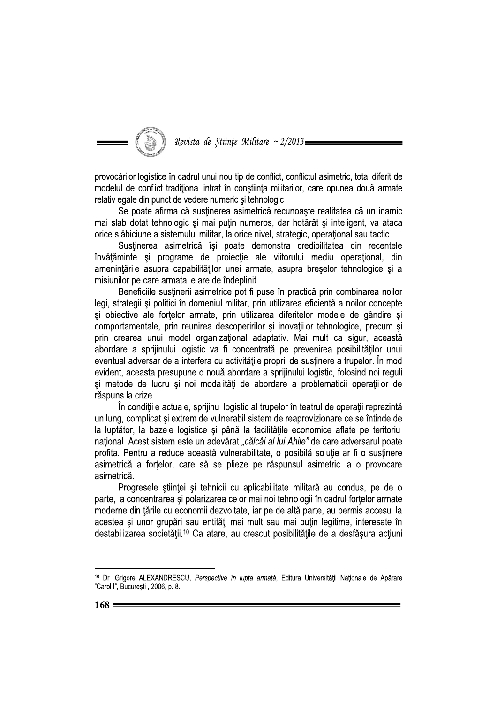

provocărilor logistice în cadrul unui nou tip de conflict, conflictul asimetric, total diferit de modelul de conflict traditional intrat în constiinta militarilor, care opunea două armate relativ egale din punct de vedere numeric si tehnologic.

Se poate afirma că sustinerea asimetrică recunoaște realitatea că un inamic mai slab dotat tehnologic și mai puțin numeros, dar hotărât și inteligent, va ataca orice slăbiciune a sistemului militar, la orice nivel, strategic, operational sau tactic.

Sustinerea asimetrică își poate demonstra credibilitatea din recentele învățăminte și programe de proiecție ale viitorului mediu operațional, din amenintările asupra capabilităților unei armate, asupra breșelor tehnologice și a misiunilor pe care armata le are de îndeplinit.

Beneficiile susținerii asimetrice pot fi puse în practică prin combinarea noilor legi, strategii și politici în domeniul militar, prin utilizarea eficientă a noilor concepte și obiective ale forțelor armate, prin utilizarea diferitelor modele de gândire și comportamentale, prin reunirea descoperirilor și inovațiilor tehnologice, precum și prin crearea unui model organizațional adaptativ. Mai mult ca sigur, această abordare a sprijinului logistic va fi concentrată pe prevenirea posibilităților unui eventual adversar de a interfera cu activitățile proprii de susținere a trupelor. În mod evident, aceasta presupune o nouă abordare a sprijinului logistic, folosind noi reguli și metode de lucru și noi modalități de abordare a problematicii operațiilor de răspuns la crize.

În condițiile actuale, sprijinul logistic al trupelor în teatrul de operații reprezintă un lung, complicat și extrem de vulnerabil sistem de reaprovizionare ce se întinde de la luptător, la bazele logistice și până la facilitățile economice aflate pe teritoriul național. Acest sistem este un adevărat "călcâi al lui Ahile" de care adversarul poate profita. Pentru a reduce această vulnerabilitate, o posibilă soluție ar fi o susținere asimetrică a forțelor, care să se plieze pe răspunsul asimetric la o provocare asimetrică.

Progresele științei și tehnicii cu aplicabilitate militară au condus, pe de o parte, la concentrarea si polarizarea celor mai noi tehnologii în cadrul fortelor armate moderne din țările cu economii dezvoltate, iar pe de altă parte, au permis accesul la acestea și unor grupări sau entități mai mult sau mai puțin legitime, interesate în destabilizarea societății.<sup>10</sup> Ca atare, au crescut posibilitățile de a desfășura acțiuni

<sup>10</sup> Dr. Grigore ALEXANDRESCU, Perspective în lupta armată, Editura Universității Naționale de Apărare "Carol I", București, 2006, p. 8.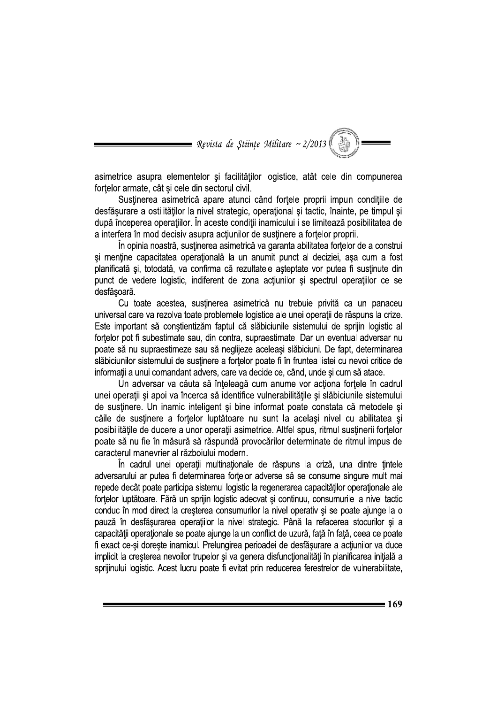= Revista de Științe Militare ~ 2/2013 (

asimetrice asupra elementelor și facilităților logistice, atât cele din compunerea fortelor armate, cât și cele din sectorul civil.

Sustinerea asimetrică apare atunci când fortele proprii impun condițiile de desfășurare a ostilităților la nivel strategic, operațional și tactic, înainte, pe timpul și după începerea operațiilor. În aceste condiții inamicului i se limitează posibilitatea de a interfera în mod decisiv asupra actiunilor de sustinere a fortelor proprii.

În opinia noastră, sustinerea asimetrică va garanta abilitatea fortelor de a construi și menține capacitatea operațională la un anumit punct al deciziei, așa cum a fost planificată și, totodată, va confirma că rezultatele așteptate vor putea fi susținute din punct de vedere logistic, indiferent de zona actiunilor si spectrul operatiilor ce se desfăsoară.

Cu toate acestea, susținerea asimetrică nu trebuie privită ca un panaceu universal care va rezolva toate problemele logistice ale unei operații de răspuns la crize. Este important să constientizăm faptul că slăbiciunile sistemului de sprijin logistic al fortelor pot fi subestimate sau, din contra, supraestimate. Dar un eventual adversar nu poate să nu supraestimeze sau să neglijeze aceleași slăbiciuni. De fapt, determinarea slăbiciunilor sistemului de sustinere a fortelor poate fi în fruntea listei cu nevoi critice de informatii a unui comandant advers, care va decide ce, când, unde si cum să atace.

Un adversar va căuta să înțeleagă cum anume vor acționa forțele în cadrul unei operații și apoi va încerca să identifice vulnerabilitățile și slăbiciunile sistemului de sustinere. Un inamic inteligent și bine informat poate constata că metodele și căile de susținere a forțelor luptătoare nu sunt la același nivel cu abilitatea și posibilitățile de ducere a unor operații asimetrice. Altfel spus, ritmul susținerii forțelor poate să nu fie în măsură să răspundă provocărilor determinate de ritmul impus de caracterul manevrier al războiului modern.

În cadrul unei operații multinaționale de răspuns la criză, una dintre țintele adversarului ar putea fi determinarea fortelor adverse să se consume singure mult mai repede decât poate participa sistemul logistic la regenerarea capacităților operaționale ale fortelor luptătoare. Fără un sprijin logistic adecvat și continuu, consumurile la nivel tactic conduc în mod direct la creșterea consumurilor la nivel operativ și se poate ajunge la o pauză în desfășurarea operațiilor la nivel strategic. Până la refacerea stocurilor și a capacității operaționale se poate ajunge la un conflict de uzură, față în față, ceea ce poate fi exact ce-și dorește inamicul. Prelungirea perioadei de desfășurare a acțiunilor va duce implicit la cresterea nevoilor trupelor si va genera disfunctionalități în planificarea inițială a sprijinului logistic. Acest lucru poate fi evitat prin reducerea ferestrelor de vulnerabilitate,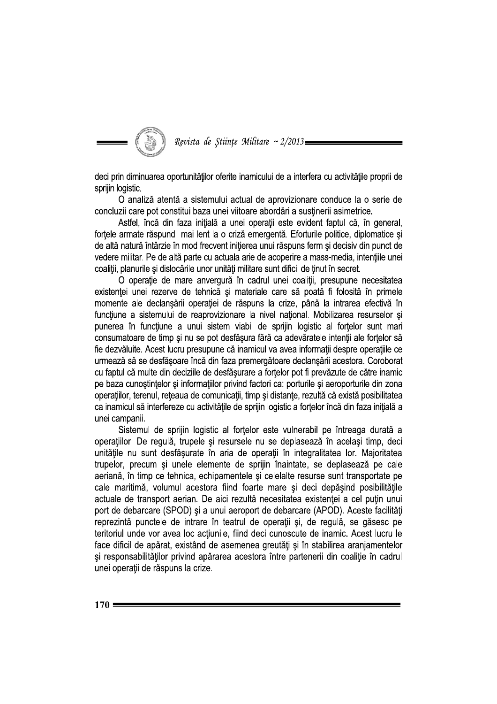

deci prin diminuarea oportunităților oferite inamicului de a interfera cu activitățile proprii de sprijin logistic.

O analiză atentă a sistemului actual de aprovizionare conduce la o serie de concluzii care pot constitui baza unei viitoare abordări a susținerii asimetrice.

Astfel, încă din faza inițială a unei operații este evident faptul că, în general, fortele armate răspund mai lent la o criză emergentă. Eforturile politice, diplomatice și de altă natură întârzie în mod frecvent inițierea unui răspuns ferm și decisiv din punct de vedere militar. Pe de altă parte cu actuala arie de acoperire a mass-media, intențiile unei coaliții, planurile și dislocările unor unități militare sunt dificil de ținut în secret.

O operatie de mare anvergură în cadrul unei coalitii, presupune necesitatea existenței unei rezerve de tehnică și materiale care să poată fi folosită în primele momente ale declanșării operației de răspuns la crize, până la intrarea efectivă în funcțiune a sistemului de reaprovizionare la nivel național. Mobilizarea resurselor și punerea în funcțiune a unui sistem viabil de sprijin logistic al fortelor sunt mari consumatoare de timp și nu se pot desfășura fără ca adevăratele intenții ale forțelor să fie dezvăluite. Acest lucru presupune că inamicul va avea informații despre operațiile ce urmează să se desfășoare încă din faza premergătoare declanșării acestora. Coroborat cu faptul că multe din deciziile de desfăsurare a fortelor pot fi prevăzute de către inamic pe baza cunoștințelor și informațiilor privind factori ca: porturile și aeroporturile din zona operațiilor, terenul, rețeaua de comunicații, timp și distanțe, rezultă că există posibilitatea ca inamicul să interfereze cu activitățile de sprijin logistic a forțelor încă din faza inițială a unei campanii.

Sistemul de sprijin logistic al fortelor este vulnerabil pe întreaga durată a operațiilor. De regulă, trupele și resursele nu se deplasează în același timp, deci unitățile nu sunt desfășurate în aria de operații în integralitatea lor. Majoritatea trupelor, precum și unele elemente de sprijin înaintate, se deplasează pe cale aeriană, în timp ce tehnica, echipamentele și celelalte resurse sunt transportate pe cale maritimă, volumul acestora fiind foarte mare și deci depășind posibilitățile actuale de transport aerian. De aici rezultă necesitatea existentei a cel putin unui port de debarcare (SPOD) și a unui aeroport de debarcare (APOD). Aceste facilități reprezintă punctele de intrare în teatrul de operații și, de regulă, se găsesc pe teritoriul unde vor avea loc acțiunile, fiind deci cunoscute de inamic. Acest lucru le face dificil de apărat, existând de asemenea greutăți și în stabilirea aranjamentelor si responsabilităților privind apărarea acestora între partenerii din coaliție în cadrul unei operații de răspuns la crize.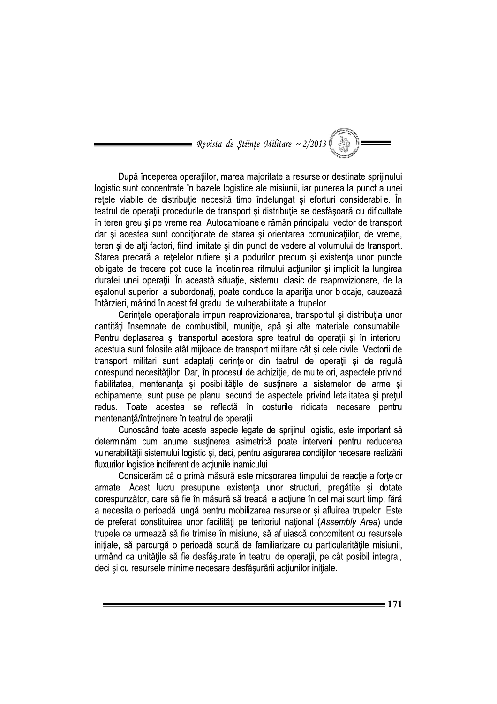$\hspace{1.5mm}$  Revista de Stiințe Militare ~ 2/2013 ( $\hspace{0.5mm}$ 

După începerea operațiilor, marea majoritate a resurselor destinate sprijinului logistic sunt concentrate în bazele logistice ale misiunii, iar punerea la punct a unei rețele viabile de distribuție necesită timp îndelungat și eforturi considerabile. În teatrul de operatii procedurile de transport și distribuție se desfășoară cu dificultate în teren greu și pe vreme rea. Autocamioanele rămân principalul vector de transport dar si acestea sunt conditionate de starea si orientarea comunicatiilor, de vreme, teren si de alti factori, fiind limitate si din punct de vedere al volumului de transport. Starea precară a rețelelor rutiere și a podurilor precum și existența unor puncte obligate de trecere pot duce la încetinirea ritmului acțiunilor și implicit la lungirea duratei unei operatii. În această situatie, sistemul clasic de reaprovizionare, de la esalonul superior la subordonați, poate conduce la apariția unor blocaje, cauzează întârzieri, mărind în acest fel gradul de vulnerabilitate al trupelor.

Cerințele operaționale impun reaprovizionarea, transportul și distribuția unor cantități însemnate de combustibil, muniție, apă și alte materiale consumabile. Pentru deplasarea și transportul acestora spre teatrul de operații și în interiorul acestuia sunt folosite atât mijloace de transport militare cât și cele civile. Vectorii de transport militari sunt adaptati cerintelor din teatrul de operatii și de regulă corespund necesitătilor. Dar, în procesul de achizitie, de multe ori, aspectele privind fiabilitatea, mentenanța și posibilitățile de susținere a sistemelor de arme și echipamente, sunt puse pe planul secund de aspectele privind letalitatea și prețul redus. Toate acestea se reflectă în costurile ridicate necesare pentru mentenanță/întreținere în teatrul de operații.

Cunoscând toate aceste aspecte legate de sprijinul logistic, este important să determinăm cum anume susținerea asimetrică poate interveni pentru reducerea vulnerabilității sistemului logistic și, deci, pentru asigurarea condițiilor necesare realizării fluxurilor logistice indiferent de actiunile inamicului.

Considerăm că o primă măsură este micșorarea timpului de reacție a forțelor armate. Acest lucru presupune existența unor structuri, pregătite și dotate corespunzător, care să fie în măsură să treacă la actiune în cel mai scurt timp, fără a necesita o perioadă lungă pentru mobilizarea resurselor și afluirea trupelor. Este de preferat constituirea unor facilități pe teritoriul național (Assembly Area) unde trupele ce urmează să fie trimise în misiune, să afluiască concomitent cu resursele inițiale, să parcurgă o perioadă scurtă de familiarizare cu particularitățile misiunii, urmând ca unitățile să fie desfășurate în teatrul de operații, pe cât posibil integral, deci și cu resursele minime necesare desfășurării acțiunilor inițiale.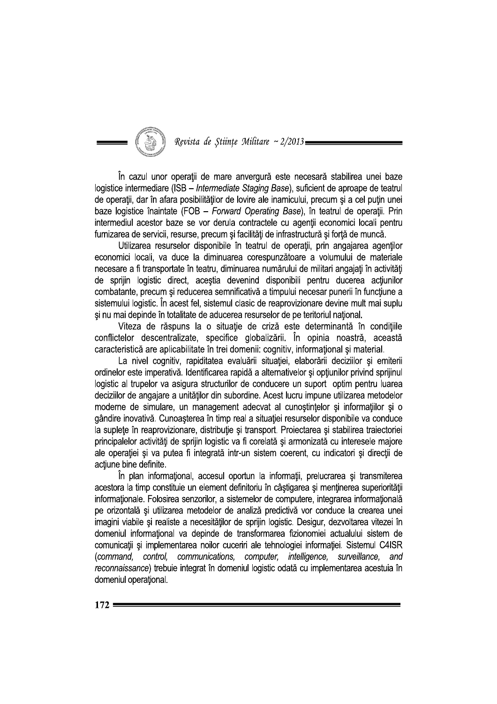Revista de Științe Militare ~ 2/2013=

În cazul unor operații de mare anvergură este necesară stabilirea unei baze logistice intermediare (ISB - Intermediate Staging Base), suficient de aproape de teatrul de operatii, dar în afara posibilităților de lovire ale inamicului, precum și a cel puțin unei baze logistice înaintate (FOB - Forward Operating Base), în teatrul de operații. Prin intermediul acestor baze se vor derula contractele cu agenții economici locali pentru furnizarea de servicii, resurse, precum si facilităti de infrastructură și fortă de muncă.

Utilizarea resurselor disponibile în teatrul de operatii, prin angajarea agentilor economici locali, va duce la diminuarea corespunzătoare a volumului de materiale necesare a fi transportate în teatru, diminuarea numărului de militari angajați în activități de sprijin logistic direct, acestia devenind disponibili pentru ducerea actiunilor combatante, precum și reducerea semnificativă a timpului necesar punerii în funcțiune a sistemului logistic. În acest fel, sistemul clasic de reaprovizionare devine mult mai suplu și nu mai depinde în totalitate de aducerea resurselor de pe teritoriul național.

Viteza de răspuns la o situatie de criză este determinantă în conditiile conflictelor descentralizate, specifice globalizării. În opinia noastră, această caracteristică are aplicabilitate în trei domenii: cognitiv, informațional și material.

La nivel cognitiv, rapiditatea evaluării situației, elaborării deciziilor și emiterii ordinelor este imperativă. Identificarea rapidă a alternativelor și optiunilor privind sprijinul logistic al trupelor va asigura structurilor de conducere un suport optim pentru luarea deciziilor de angajare a unităților din subordine. Acest lucru impune utilizarea metodelor moderne de simulare, un management adecvat al cunostintelor și informațiilor și o gândire inovativă. Cunoașterea în timp real a situației resurselor disponibile va conduce la suplete în reaprovizionare, distribuție și transport. Proiectarea și stabilirea traiectoriei principalelor activități de sprijin logistic va fi corelată și armonizată cu interesele majore ale operației și va putea fi integrată intr-un sistem coerent, cu indicatori și direcții de actiune bine definite.

În plan informational, accesul oportun la informații, prelucrarea și transmiterea acestora la timp constituie un element definitoriu în câștigarea și menținerea superiorității informationale. Folosirea senzorilor, a sistemelor de computere, integrarea informatională pe orizontală și utilizarea metodelor de analiză predictivă vor conduce la crearea unei imagini viabile și realiste a necesităților de sprijin logistic. Desigur, dezvoltarea vitezei în domeniul informational va depinde de transformarea fizionomiei actualului sistem de comunicații și implementarea noilor cuceriri ale tehnologiei informației. Sistemul C4ISR (command, control, communications, computer, intelligence, surveillance, and reconnaissance) trebuie integrat în domeniul logistic odată cu implementarea acestuia în domeniul operational.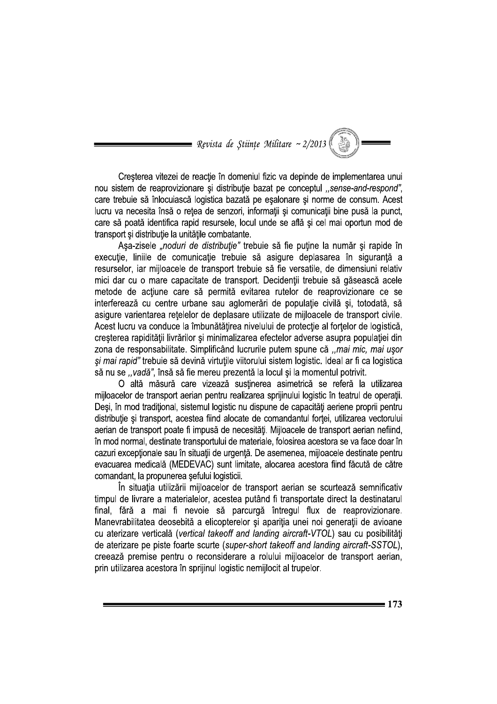= Revista de Științe Militare ~ 2/2013

Creșterea vitezei de reacție în domeniul fizic va depinde de implementarea unui nou sistem de reaprovizionare și distribuție bazat pe conceptul "sense-and-respond", care trebuie să înlocuiască logistica bazată pe eșalonare și norme de consum. Acest lucru va necesita însă o retea de senzori, informatii și comunicații bine pusă la punct, care să poată identifica rapid resursele, locul unde se află și cel mai oportun mod de transport si distributie la unitătile combatante.

Asa-zisele "noduri de distributie" trebuie să fie putine la număr și rapide în execuție, liniile de comunicație trebuie să asigure deplasarea în siguranță a resurselor, iar mijloacele de transport trebuie să fie versatile, de dimensiuni relativ mici dar cu o mare capacitate de transport. Decidentii trebuie să găsească acele metode de actiune care să permită evitarea rutelor de reaprovizionare ce se interferează cu centre urbane sau aglomerări de populație civilă și, totodată, să asigure varientarea retelelor de deplasare utilizate de mijloacele de transport civile. Acest lucru va conduce la îmbunătățirea nivelului de protecție al forțelor de logistică, creșterea rapidității livrărilor și minimalizarea efectelor adverse asupra populației din zona de responsabilitate. Simplificând lucrurile putem spune că "mai mic, mai ușor și mai rapid" trebuie să devină virtuțile viitorului sistem logistic. Ideal ar fi ca logistica să nu se ..vadă", însă să fie mereu prezentă la locul și la momentul potrivit.

O altă măsură care vizează susținerea asimetrică se referă la utilizarea mijloacelor de transport aerian pentru realizarea sprijinului logistic în teatrul de operații. Deși, în mod tradițional, sistemul logistic nu dispune de capacități aeriene proprii pentru distribuție și transport, acestea fiind alocate de comandantul forței, utilizarea vectorului aerian de transport poate fi impusă de necesități. Mijloacele de transport aerian nefiind, în mod normal, destinate transportului de materiale, folosirea acestora se va face doar în cazuri exceptionale sau în situații de urgență. De asemenea, mijloacele destinate pentru evacuarea medicală (MEDEVAC) sunt limitate, alocarea acestora fiind făcută de către comandant, la propunerea sefului logisticii.

În situația utilizării mijloacelor de transport aerian se scurtează semnificativ timpul de livrare a materialelor, acestea putând fi transportate direct la destinatarul final, fără a mai fi nevoie să parcurgă întregul flux de reaprovizionare. Manevrabilitatea deosebită a elicopterelor și apariția unei noi generații de avioane cu aterizare verticală (vertical takeoff and landing aircraft-VTOL) sau cu posibilități de aterizare pe piste foarte scurte (super-short takeoff and landing aircraft-SSTOL), creează premise pentru o reconsiderare a rolului mijloacelor de transport aerian, prin utilizarea acestora în sprijinul logistic nemijlocit al trupelor.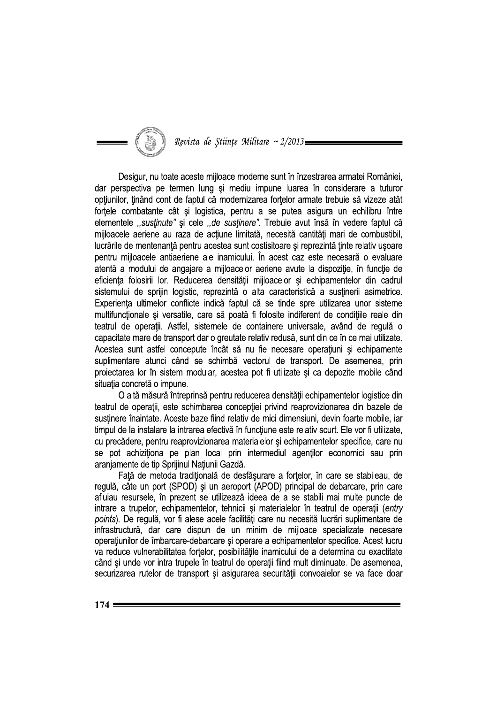## Revista de Științe Militare ~ 2/2013

Desigur, nu toate aceste mijloace moderne sunt în înzestrarea armatei României, dar perspectiva pe termen lung și mediu impune luarea în considerare a tuturor optiunilor, tinând cont de faptul că modernizarea fortelor armate trebuie să vizeze atât fortele combatante cât și logistica, pentru a se putea asigura un echilibru între elementele "sustinute" și cele "de sustinere". Trebuie avut însă în vedere faptul că miiloacele aeriene au raza de actiune limitată, necesită cantităti mari de combustibil. lucrările de mentenanță pentru acestea sunt costisitoare și reprezintă ținte relativ usoare pentru mijloacele antiaeriene ale inamicului. În acest caz este necesară o evaluare atentă a modului de angajare a mijloacelor aeriene avute la dispoziție, în funcție de eficienta folosirii lor. Reducerea densitătii miiloacelor și echipamentelor din cadrul sistemului de sprijin logistic, reprezintă o alta caracteristică a susținerii asimetrice. Experiența ultimelor conflicte indică faptul că se tinde spre utilizarea unor sisteme multifuncționale și versatile, care să poată fi folosite indiferent de condițiile reale din teatrul de operatii. Astfel, sistemele de containere universale, având de regulă o capacitate mare de transport dar o greutate relativ redusă, sunt din ce în ce mai utilizate. Acestea sunt astfel concepute încât să nu fie necesare operatiuni și echipamente suplimentare atunci când se schimbă vectorul de transport. De asemenea, prin projectarea lor în sistem modular, acestea pot fi utilizate și ca depozite mobile când situația concretă o impune.

O altă măsură întreprinsă pentru reducerea densității echipamentelor logistice din teatrul de operații, este schimbarea concepției privind reaprovizionarea din bazele de susținere înaintate. Aceste baze fiind relativ de mici dimensiuni, devin foarte mobile, iar timpul de la instalare la intrarea efectivă în funcțiune este relativ scurt. Ele vor fi utilizate, cu precădere, pentru reaprovizionarea materialelor și echipamentelor specifice, care nu se pot achizitiona pe plan local prin intermediul agentilor economici sau prin aranjamente de tip Sprijinul Națiunii Gazdă.

Fată de metoda tradițională de desfășurare a fortelor, în care se stabileau, de regulă, câte un port (SPOD) și un aeroport (APOD) principal de debarcare, prin care afluiau resursele, în prezent se utilizează ideea de a se stabili mai multe puncte de intrare a trupelor, echipamentelor, tehnicii și materialelor în teatrul de operații (entry points). De regulă, vor fi alese acele facilități care nu necesită lucrări suplimentare de infrastructură, dar care dispun de un minim de mijloace specializate necesare operațiunilor de îmbarcare-debarcare și operare a echipamentelor specifice. Acest lucru va reduce vulnerabilitatea fortelor, posibilitățile inamicului de a determina cu exactitate când și unde vor intra trupele în teatrul de operații fiind mult diminuate. De asemenea, securizarea rutelor de transport si asigurarea securității convoaielor se va face doar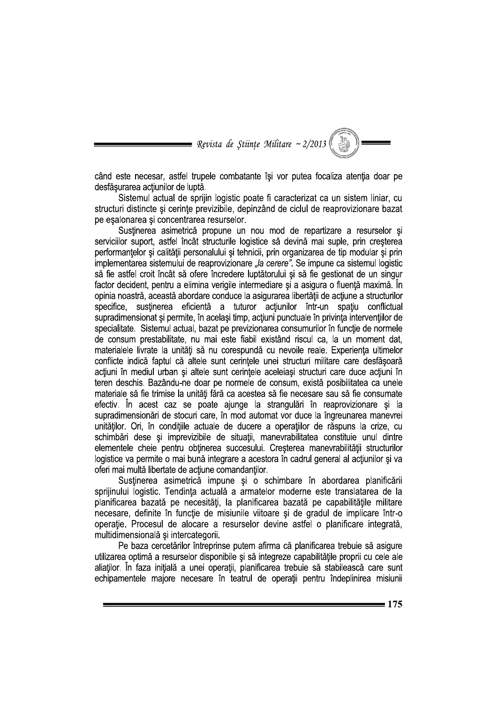**Nevista de Științe Militare ~ 2/2013 (** 

când este necesar, astfel trupele combatante își vor putea focaliza atenția doar pe desfășurarea acțiunilor de luptă.

Sistemul actual de sprijin logistic poate fi caracterizat ca un sistem liniar, cu structuri distincte si cerinte previzibile, depinzând de ciclul de reaprovizionare bazat pe esalonarea și concentrarea resurselor.

Sustinerea asimetrică propune un nou mod de repartizare a resurselor și serviciilor suport, astfel încât structurile logistice să devină mai suple, prin creșterea performantelor și calității personalului și tehnicii, prin organizarea de tip modular și prin implementarea sistemului de reaprovizionare "la cerere". Se impune ca sistemul logistic să fie astfel croit încât să ofere încredere luptătorului și să fie gestionat de un singur factor decident, pentru a elimina verigile intermediare și a asigura o fluență maximă. În opinia noastră, această abordare conduce la asigurarea libertății de actiune a structurilor specifice, sustinerea eficientă a tuturor actiunilor într-un spatiu conflictual supradimensionat și permite, în același timp, acțiuni punctuale în privința intervențiilor de specialitate. Sistemul actual, bazat pe previzionarea consumurilor în funcție de normele de consum prestabilitate, nu mai este fiabil existând riscul ca, la un moment dat, materialele livrate la unități să nu corespundă cu nevoile reale. Experiența ultimelor conflicte indică faptul că altele sunt cerintele unei structuri militare care desfăsoară acțiuni în mediul urban și altele sunt cerințele aceleiași structuri care duce acțiuni în teren deschis. Bazându-ne doar pe normele de consum, există posibilitatea ca unele materiale să fie trimise la unități fără ca acestea să fie necesare sau să fie consumate efectiv. În acest caz se poate ajunge la strangulări în reaprovizionare și la supradimensionări de stocuri care, în mod automat vor duce la îngreunarea manevrei unitătilor. Ori, în conditiile actuale de ducere a operatiilor de răspuns la crize, cu schimbări dese și imprevizibile de situații, manevrabilitatea constituie unul dintre elementele cheie pentru obținerea succesului. Creșterea manevrabilității structurilor logistice va permite o mai bună integrare a acestora în cadrul general al actiunilor și va oferi mai multă libertate de acțiune comandanților.

Sustinerea asimetrică impune și o schimbare în abordarea planificării sprijinului logistic. Tendinta actuală a armatelor moderne este translatarea de la planificarea bazată pe necesități, la planificarea bazată pe capabilitățile militare necesare, definite în funcție de misiunile viitoare și de gradul de implicare într-o operație. Procesul de alocare a resurselor devine astfel o planificare integrată, multidimensională și intercategorii.

Pe baza cercetărilor întreprinse putem afirma că planificarea trebuie să asigure utilizarea optimă a resurselor disponibile și să integreze capabilitățile proprii cu cele ale aliaților. În faza inițială a unei operații, planificarea trebuie să stabilească care sunt echipamentele majore necesare în teatrul de operații pentru îndeplinirea misiunii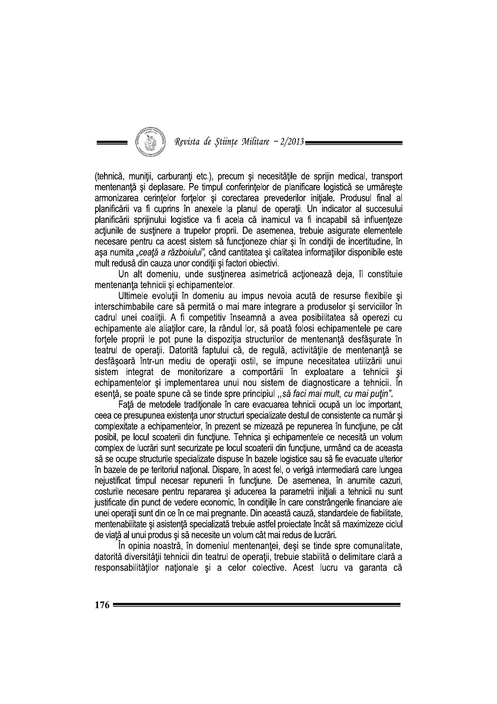## Revista de Științe Militare ~ 2/2013

(tehnică, muniții, carburanți etc.), precum și necesitățile de sprijin medical, transport mentenanță și deplasare. Pe timpul conferințelor de planificare logistică se urmărește armonizarea cerintelor fortelor și corectarea prevederilor inițiale. Produsul final al planificării va fi cuprins în anexele la planul de operații. Un indicator al succesului planificării sprijinului logistice va fi acela că inamicul va fi incapabil să influențeze acțiunile de susținere a trupelor proprii. De asemenea, trebuie asigurate elementele necesare pentru ca acest sistem să funcționeze chiar și în condiții de incertitudine, în asa numita "ceată a războiului", când cantitatea și calitatea informatiilor disponibile este mult redusă din cauza unor condiții și factori obiectivi.

Un alt domeniu, unde sustinerea asimetrică actionează deia, îl constituie mentenanța tehnicii și echipamentelor.

Ultimele evoluții în domeniu au impus nevoia acută de resurse flexibile și interschimbabile care să permită o mai mare integrare a produselor si serviciilor în cadrul unei coaliții. A fi competitiv înseamnă a avea posibilitatea să operezi cu echipamente ale aliatilor care, la rândul lor, să poată folosi echipamentele pe care forțele proprii le pot pune la dispoziția structurilor de mentenanță desfășurate în teatrul de operații. Datorită faptului că, de regulă, activitățile de mentenanță se desfășoară într-un mediu de operații ostil, se impune necesitatea utilizării unui sistem integrat de monitorizare a comportării în exploatare a tehnicii și echipamentelor și implementarea unui nou sistem de diagnosticare a tehnicii. În esentă, se poate spune că se tinde spre principiul .. să faci mai mult, cu mai putin".

Față de metodele tradiționale în care evacuarea tehnicii ocupă un loc important, ceea ce presupunea existenta unor structuri specializate destul de consistente ca număr și complexitate a echipamentelor, în prezent se mizează pe repunerea în functiune, pe cât posibil, pe locul scoaterii din funcțiune. Tehnica și echipamentele ce necesită un volum complex de lucrări sunt securizate pe locul scoaterii din funcțiune, urmând ca de aceasta să se ocupe structurile specializate dispuse în bazele logistice sau să fie evacuate ulterior în bazele de pe teritoriul național. Dispare, în acest fel, o verigă intermediară care lungea neiustificat timpul necesar repunerii în functiune. De asemenea, în anumite cazuri, costurile necesare pentru repararea si aducerea la parametrii initiali a tehnicii nu sunt justificate din punct de vedere economic, în conditiile în care constrângerile financiare ale unei operații sunt din ce în ce mai pregnante. Din această cauză, standardele de fiabilitate, mentenabilitate și asistență specializată trebuie astfel proiectate încât să maximizeze ciclul de viață al unui produs și să necesite un volum cât mai redus de lucrări.

În opinia noastră, în domeniul mentenantei, deși se tinde spre comunalitate, datorită diversității tehnicii din teatrul de operații, trebuie stabilită o delimitare clară a responsabilităților naționale și a celor colective. Acest lucru va garanta că

 $176:$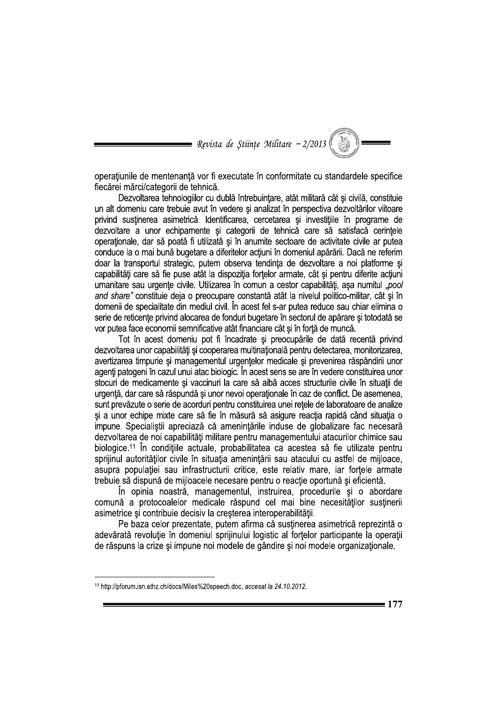Revista de Stiințe Militare ~ 2/2013

operațiunile de mentenanță vor fi executate în conformitate cu standardele specifice fiecărei mărci/categorii de tehnică.

Dezvoltarea tehnologiilor cu dublă întrebuintare, atât militară cât și civilă, constituie un alt domeniu care trebuie avut în vedere și analizat în perspectiva dezvoltărilor viitoare privind sustinerea asimetrică. Identificarea, cercetarea și investițiile în programe de dezvoltare a unor echipamente și categorii de tehnică care să satisfacă cerintele operationale, dar să poată fi utilizată și în anumite sectoare de activitate civile ar putea conduce la o mai bună bugetare a diferitelor actiuni în domeniul apărării. Dacă ne referim doar la transportul strategic, putem observa tendinta de dezvoltare a noi platforme si capabilităti care să fie puse atât la dispozitia fortelor armate, cât și pentru diferite actiuni umanitare sau urgențe civile. Utilizarea în comun a cestor capabilități, așa numitul "pool and share" constituie deja o preocupare constantă atât la nivelul politico-militar, cât și în domenii de specialitate din mediul civil. În acest fel s-ar putea reduce sau chiar elimina o serie de reticente privind alocarea de fonduri bugetare în sectorul de apărare și totodată se vor putea face economii semnificative atât financiare cât și în forță de muncă.

Tot în acest domeniu pot fi încadrate și preocupările de dată recentă privind dezvoltarea unor capabilități și cooperarea multinațională pentru detectarea, monitorizarea, avertizarea timpurie și managementul urgențelor medicale și prevenirea răspândirii unor agenți patogeni în cazul unui atac biologic. În acest sens se are în vedere constituirea unor stocuri de medicamente si vaccinuri la care să aibă acces structurile civile în situații de urgentă, dar care să răspundă și unor nevoi operationale în caz de conflict. De asemenea, sunt prevăzute o serie de acorduri pentru constituirea unei rețele de laboratoare de analize și a unor echipe mixte care să fie în măsură să asigure reacția rapidă când situația o impune. Specialistii apreciază că amenintările induse de globalizare fac necesară dezvoltarea de noi capabilități militare pentru managementului atacurilor chimice sau biologice.<sup>11</sup> În condițiile actuale, probabilitatea ca acestea să fie utilizate pentru sprijinul autorităților civile în situația amenințării sau atacului cu astfel de mijloace, asupra populației sau infrastructurii critice, este relativ mare, iar forțele armate trebuie să dispună de miiloacele necesare pentru o reactie oportună și eficientă.

În opinia noastră, managementul, instruirea, procedurile și o abordare comună a protocoalelor medicale răspund cel mai bine necesităților susținerii asimetrice și contribuie decisiv la creșterea interoperabilității.

Pe baza celor prezentate, putem afirma că susținerea asimetrică reprezintă o adevărată revoluție în domeniul sprijinului logistic al forțelor participante la operații de răspuns la crize și impune noi modele de gândire și noi modele organizaționale.

<sup>&</sup>lt;sup>11</sup> http://pforum.isn.ethz.ch/docs/Miles%20speech.doc, accesat la 24.10.2012.